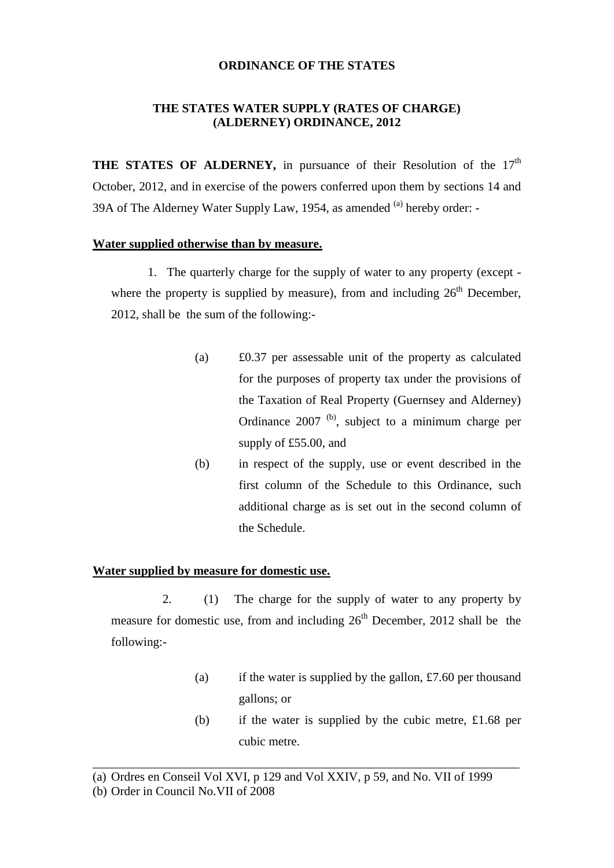# **ORDINANCE OF THE STATES**

# **THE STATES WATER SUPPLY (RATES OF CHARGE) (ALDERNEY) ORDINANCE, 2012**

**THE STATES OF ALDERNEY,** in pursuance of their Resolution of the 17<sup>th</sup> October, 2012, and in exercise of the powers conferred upon them by sections 14 and 39A of The Alderney Water Supply Law, 1954, as amended  $^{(a)}$  hereby order: -

## **Water supplied otherwise than by measure.**

1. The quarterly charge for the supply of water to any property (except where the property is supplied by measure), from and including  $26<sup>th</sup>$  December, 2012, shall be the sum of the following:-

- (a) £0.37 per assessable unit of the property as calculated for the purposes of property tax under the provisions of the Taxation of Real Property (Guernsey and Alderney) Ordinance  $2007$  <sup>(b)</sup>, subject to a minimum charge per supply of £55.00, and
- (b) in respect of the supply, use or event described in the first column of the Schedule to this Ordinance, such additional charge as is set out in the second column of the Schedule.

## **Water supplied by measure for domestic use.**

2. (1) The charge for the supply of water to any property by measure for domestic use, from and including  $26<sup>th</sup>$  December, 2012 shall be the following:-

- (a) if the water is supplied by the gallon,  $\text{\pounds}7.60$  per thousand gallons; or
- (b) if the water is supplied by the cubic metre, £1.68 per cubic metre.

\_\_\_\_\_\_\_\_\_\_\_\_\_\_\_\_\_\_\_\_\_\_\_\_\_\_\_\_\_\_\_\_\_\_\_\_\_\_\_\_\_\_\_\_\_\_\_\_\_\_\_\_\_\_\_\_\_\_\_\_\_\_\_\_\_\_\_\_\_

<sup>(</sup>a) Ordres en Conseil Vol XVI, p 129 and Vol XXIV, p 59, and No. VII of 1999

<sup>(</sup>b) Order in Council No.VII of 2008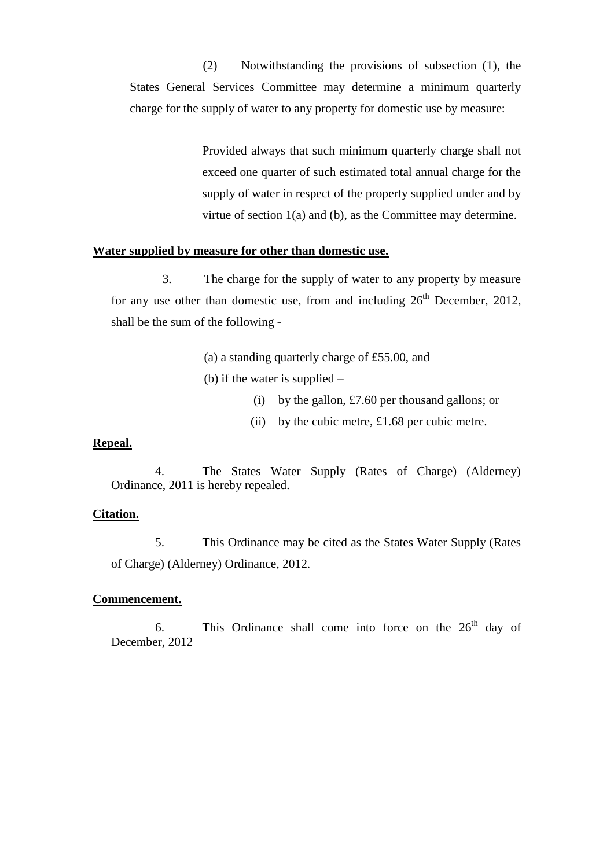(2) Notwithstanding the provisions of subsection (1), the States General Services Committee may determine a minimum quarterly charge for the supply of water to any property for domestic use by measure:

> Provided always that such minimum quarterly charge shall not exceed one quarter of such estimated total annual charge for the supply of water in respect of the property supplied under and by virtue of section 1(a) and (b), as the Committee may determine.

# **Water supplied by measure for other than domestic use.**

3. The charge for the supply of water to any property by measure for any use other than domestic use, from and including  $26<sup>th</sup>$  December, 2012, shall be the sum of the following -

- (a) a standing quarterly charge of £55.00, and
- (b) if the water is supplied
	- (i) by the gallon,  $\text{\pounds}7.60$  per thousand gallons; or
	- (ii) by the cubic metre, £1.68 per cubic metre.

#### **Repeal.**

4. The States Water Supply (Rates of Charge) (Alderney) Ordinance, 2011 is hereby repealed.

#### **Citation.**

5. This Ordinance may be cited as the States Water Supply (Rates of Charge) (Alderney) Ordinance, 2012.

#### **Commencement.**

6. This Ordinance shall come into force on the  $26<sup>th</sup>$  day of December, 2012